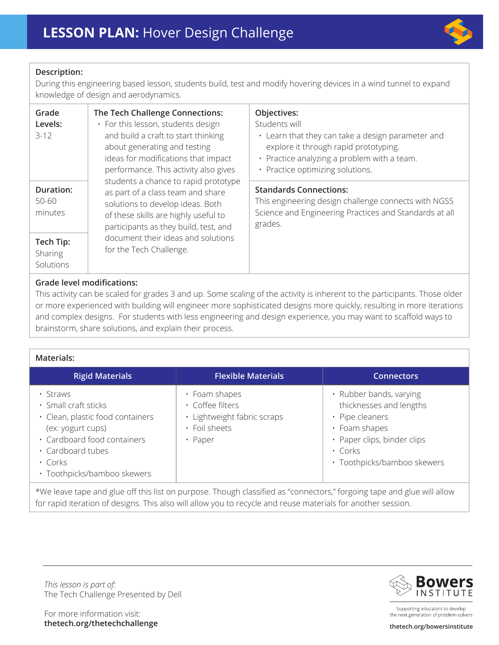

## **Description:**

During this engineering based lesson, students build, test and modify hovering devices in a wind tunnel to expand knowledge of design and aerodynamics.

| Grade<br>Levels:<br>$3 - 12$             | The Tech Challenge Connections:<br>· For this lesson, students design<br>and build a craft to start thinking<br>about generating and testing<br>ideas for modifications that impact<br>performance. This activity also gives<br>students a chance to rapid prototype<br>as part of a class team and share<br>solutions to develop ideas. Both<br>of these skills are highly useful to<br>participants as they build, test, and<br>document their ideas and solutions<br>for the Tech Challenge. | Objectives:<br>Students will<br>• Learn that they can take a design parameter and<br>explore it through rapid prototyping.<br>• Practice analyzing a problem with a team.<br>• Practice optimizing solutions. |
|------------------------------------------|-------------------------------------------------------------------------------------------------------------------------------------------------------------------------------------------------------------------------------------------------------------------------------------------------------------------------------------------------------------------------------------------------------------------------------------------------------------------------------------------------|---------------------------------------------------------------------------------------------------------------------------------------------------------------------------------------------------------------|
| <b>Duration:</b><br>$50 - 60$<br>minutes |                                                                                                                                                                                                                                                                                                                                                                                                                                                                                                 | <b>Standards Connections:</b><br>This engineering design challenge connects with NGSS<br>Science and Engineering Practices and Standards at all<br>grades.                                                    |
| Tech Tip:<br>Sharing<br>Solutions        |                                                                                                                                                                                                                                                                                                                                                                                                                                                                                                 |                                                                                                                                                                                                               |

## **Grade level modifications:**

This activity can be scaled for grades 3 and up. Some scaling of the activity is inherent to the participants. Those older or more experienced with building will engineer more sophisticated designs more quickly, resulting in more iterations and complex designs. For students with less engineering and design experience, you may want to scaffold ways to brainstorm, share solutions, and explain their process.

### **Materials:**

| <b>Rigid Materials</b>                                                                                                                                                                        | <b>Flexible Materials</b>                                                                    | <b>Connectors</b>                                                                                                                                                     |
|-----------------------------------------------------------------------------------------------------------------------------------------------------------------------------------------------|----------------------------------------------------------------------------------------------|-----------------------------------------------------------------------------------------------------------------------------------------------------------------------|
| • Straws<br>· Small craft sticks<br>· Clean, plastic food containers<br>(ex: yogurt cups)<br>· Cardboard food containers<br>· Cardboard tubes<br>$\cdot$ Corks<br>· Toothpicks/bamboo skewers | • Foam shapes<br>· Coffee filters<br>· Lightweight fabric scraps<br>· Foil sheets<br>• Paper | • Rubber bands, varying<br>thicknesses and lengths<br>• Pipe cleaners<br>• Foam shapes<br>· Paper clips, binder clips<br>$\cdot$ Corks<br>· Toothpicks/bamboo skewers |

\*We leave tape and glue off this list on purpose. Though classified as "connectors," forgoing tape and glue will allow for rapid iteration of designs. This also will allow you to recycle and reuse materials for another session.

*This lesson is part of:*  The Tech Challenge Presented by Dell





Supporting educators to develop the next generation of problem-solvers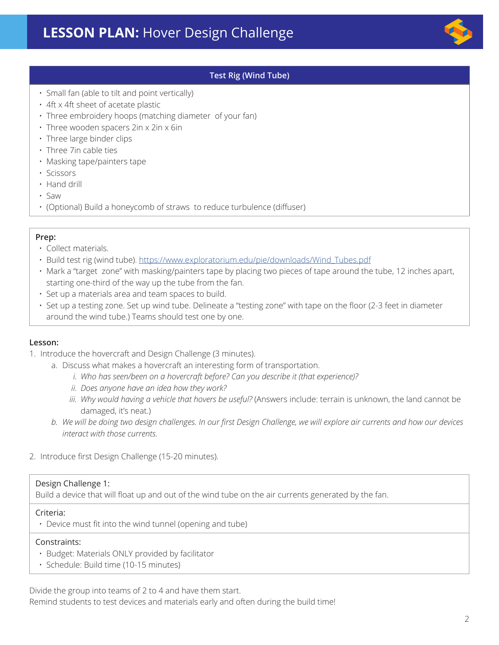

## **Test Rig (Wind Tube)**

- Small fan (able to tilt and point vertically)
- 4ft x 4ft sheet of acetate plastic
- Three embroidery hoops (matching diameter of your fan)
- Three wooden spacers 2in x 2in x 6in
- Three large binder clips
- Three 7in cable ties
- Masking tape/painters tape
- Scissors
- Hand drill
- Saw
- (Optional) Build a honeycomb of straws to reduce turbulence (diffuser)

### **Prep:**

- Collect materials.
- Build test rig (wind tube). [https://www.exploratorium.edu/pie/downloads/Wind\\_Tubes.pdf](https://www.exploratorium.edu/pie/downloads/Wind_Tubes.pdf)
- Mark a "target zone" with masking/painters tape by placing two pieces of tape around the tube, 12 inches apart, starting one-third of the way up the tube from the fan.
- Set up a materials area and team spaces to build.
- Set up a testing zone. Set up wind tube. Delineate a "testing zone" with tape on the floor (2-3 feet in diameter around the wind tube.) Teams should test one by one.

### **Lesson:**

- 1. Introduce the hovercraft and Design Challenge (3 minutes).
	- a. Discuss what makes a hovercraft an interesting form of transportation.
		- *i. Who has seen/been on a hovercraft before? Can you describe it (that experience)?*
		- *ii. Does anyone have an idea how they work?*
		- *iii. Why would having a vehicle that hovers be useful?* (Answers include: terrain is unknown, the land cannot be damaged, it's neat.)
	- *b. We will be doing two design challenges. In our first Design Challenge, we will explore air currents and how our devices interact with those currents.*
- 2. Introduce first Design Challenge (15-20 minutes).

### Design Challenge 1:

Build a device that will float up and out of the wind tube on the air currents generated by the fan.

#### Criteria:

• Device must fit into the wind tunnel (opening and tube)

### Constraints:

- Budget: Materials ONLY provided by facilitator
- Schedule: Build time (10-15 minutes)

Divide the group into teams of 2 to 4 and have them start. Remind students to test devices and materials early and often during the build time!